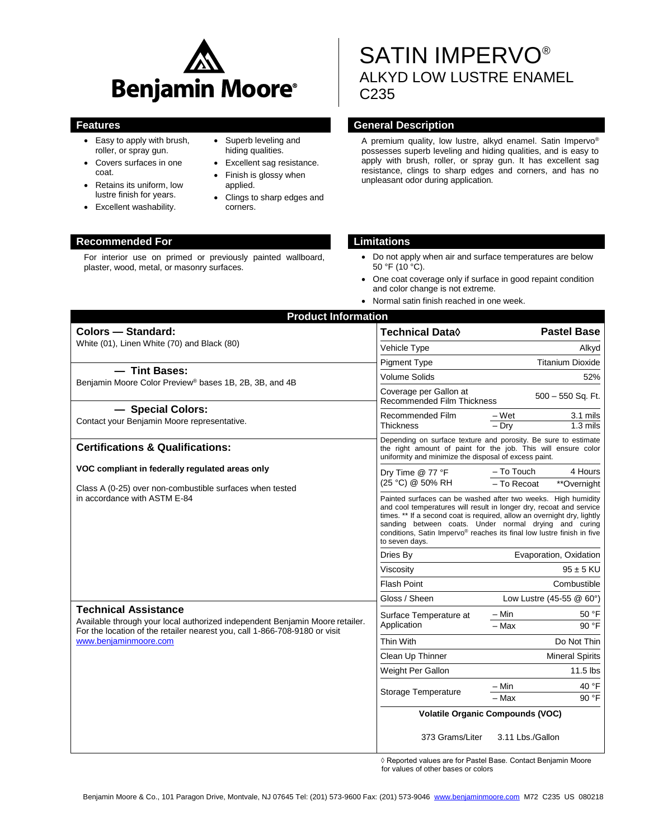

- Easy to apply with brush, roller, or spray gun.
- Covers surfaces in one coat.
- Retains its uniform, low lustre finish for years.
- Excellent washability.

#### • Superb leveling and hiding qualities.

- Excellent sag resistance.
- Finish is glossy when applied.
- Clings to sharp edges and corners.

# SATIN IMPERVO® ALKYD LOW LUSTRE ENAMEL C235

# **Features General Description**

A premium quality, low lustre, alkyd enamel. Satin Impervo® possesses superb leveling and hiding qualities, and is easy to apply with brush, roller, or spray gun. It has excellent sag resistance, clings to sharp edges and corners, and has no unpleasant odor during application.

# **Recommended For Limitations**

For interior use on primed or previously painted wallboard, plaster, wood, metal, or masonry surfaces.

- Do not apply when air and surface temperatures are below 50 °F (10 °C).
- One coat coverage only if surface in good repaint condition and color change is not extreme.
- Normal satin finish reached in one week.

| <b>Product Information</b>                                                                                                                                                                                         |                                                                                                                                                                                                                                                                                                                                                                      |                                                     |
|--------------------------------------------------------------------------------------------------------------------------------------------------------------------------------------------------------------------|----------------------------------------------------------------------------------------------------------------------------------------------------------------------------------------------------------------------------------------------------------------------------------------------------------------------------------------------------------------------|-----------------------------------------------------|
| <b>Colors - Standard:</b>                                                                                                                                                                                          | <b>Technical Data</b> ♦                                                                                                                                                                                                                                                                                                                                              | <b>Pastel Base</b>                                  |
| White (01), Linen White (70) and Black (80)                                                                                                                                                                        | Vehicle Type                                                                                                                                                                                                                                                                                                                                                         | Alkyd                                               |
|                                                                                                                                                                                                                    | <b>Pigment Type</b>                                                                                                                                                                                                                                                                                                                                                  | <b>Titanium Dioxide</b>                             |
| - Tint Bases:<br>Benjamin Moore Color Preview <sup>®</sup> bases 1B, 2B, 3B, and 4B                                                                                                                                | <b>Volume Solids</b>                                                                                                                                                                                                                                                                                                                                                 | 52%                                                 |
|                                                                                                                                                                                                                    | Coverage per Gallon at<br>Recommended Film Thickness                                                                                                                                                                                                                                                                                                                 | $500 - 550$ Sq. Ft.                                 |
| - Special Colors:<br>Contact your Benjamin Moore representative.                                                                                                                                                   | Recommended Film<br><b>Thickness</b>                                                                                                                                                                                                                                                                                                                                 | $-Wet$<br>3.1 mils<br>$-$ Drv<br>$1.3$ mils         |
| <b>Certifications &amp; Qualifications:</b>                                                                                                                                                                        | Depending on surface texture and porosity. Be sure to estimate<br>the right amount of paint for the job. This will ensure color<br>uniformity and minimize the disposal of excess paint.                                                                                                                                                                             |                                                     |
| VOC compliant in federally regulated areas only<br>Class A (0-25) over non-combustible surfaces when tested<br>in accordance with ASTM E-84                                                                        | Dry Time @ 77 °F<br>(25 °C) @ 50% RH                                                                                                                                                                                                                                                                                                                                 | 4 Hours<br>– To Touch<br>**Overnight<br>- To Recoat |
|                                                                                                                                                                                                                    | Painted surfaces can be washed after two weeks. High humidity<br>and cool temperatures will result in longer dry, recoat and service<br>times. ** If a second coat is required, allow an overnight dry, lightly<br>sanding between coats. Under normal drying and curing<br>conditions, Satin Impervo® reaches its final low lustre finish in five<br>to seven days. |                                                     |
|                                                                                                                                                                                                                    | Dries By                                                                                                                                                                                                                                                                                                                                                             | Evaporation, Oxidation                              |
|                                                                                                                                                                                                                    | Viscosity                                                                                                                                                                                                                                                                                                                                                            | $95 \pm 5$ KU                                       |
|                                                                                                                                                                                                                    | <b>Flash Point</b>                                                                                                                                                                                                                                                                                                                                                   | Combustible                                         |
|                                                                                                                                                                                                                    | Gloss / Sheen                                                                                                                                                                                                                                                                                                                                                        | Low Lustre (45-55 @ 60°)                            |
| <b>Technical Assistance</b><br>Available through your local authorized independent Benjamin Moore retailer.<br>For the location of the retailer nearest you, call 1-866-708-9180 or visit<br>www.benjaminmoore.com | Surface Temperature at<br>Application                                                                                                                                                                                                                                                                                                                                | – Min<br>50 °F                                      |
|                                                                                                                                                                                                                    |                                                                                                                                                                                                                                                                                                                                                                      | - Max<br>90 °F                                      |
|                                                                                                                                                                                                                    | <b>Thin With</b>                                                                                                                                                                                                                                                                                                                                                     | Do Not Thin                                         |
|                                                                                                                                                                                                                    | Clean Up Thinner                                                                                                                                                                                                                                                                                                                                                     | <b>Mineral Spirits</b>                              |
|                                                                                                                                                                                                                    | Weight Per Gallon                                                                                                                                                                                                                                                                                                                                                    | $11.5$ lbs                                          |
|                                                                                                                                                                                                                    | <b>Storage Temperature</b>                                                                                                                                                                                                                                                                                                                                           | - Min<br>40 °F                                      |
|                                                                                                                                                                                                                    |                                                                                                                                                                                                                                                                                                                                                                      | $-$ Max<br>90 °F                                    |
|                                                                                                                                                                                                                    | <b>Volatile Organic Compounds (VOC)</b>                                                                                                                                                                                                                                                                                                                              |                                                     |
|                                                                                                                                                                                                                    | 373 Grams/Liter                                                                                                                                                                                                                                                                                                                                                      | 3.11 Lbs./Gallon                                    |

◊ Reported values are for Pastel Base. Contact Benjamin Moore for values of other bases or colors